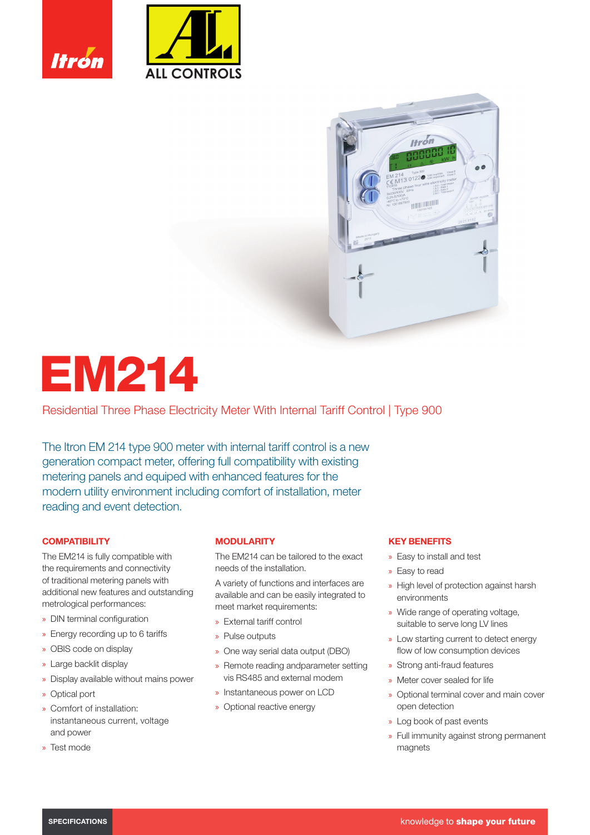





# EM214

Residential Three Phase Electricity Meter With Internal Tariff Control | Type 900

The Itron EM 214 type 900 meter with internal tariff control is a new generation compact meter, offering full compatibility with existing metering panels and equiped with enhanced features for the modern utility environment including comfort of installation, meter reading and event detection.

# **COMPATIBILITY**

The EM214 is fully compatible with the requirements and connectivity of traditional metering panels with additional new features and outstanding metrological performances:

- » DIN terminal configuration
- » Energy recording up to 6 tariffs
- » OBIS code on display
- » Large backlit display
- » Display available without mains power
- » Optical port
- » Comfort of installation: instantaneous current, voltage and power
- » Test mode

### **MODULARITY**

The EM214 can be tailored to the exact needs of the installation.

A variety of functions and interfaces are available and can be easily integrated to meet market requirements:

- » External tariff control
- » Pulse outputs
- » One way serial data output (DBO)
- » Remote reading andparameter setting vis RS485 and external modem
- » Instantaneous power on LCD
- » Optional reactive energy

### KEY BENEFITS

- » Easy to install and test
- » Easy to read
- » High level of protection against harsh environments
- » Wide range of operating voltage, suitable to serve long LV lines
- » Low starting current to detect energy flow of low consumption devices
- » Strong anti-fraud features
- » Meter cover sealed for life
- » Optional terminal cover and main cover open detection
- » Log book of past events
- » Full immunity against strong permanent magnets